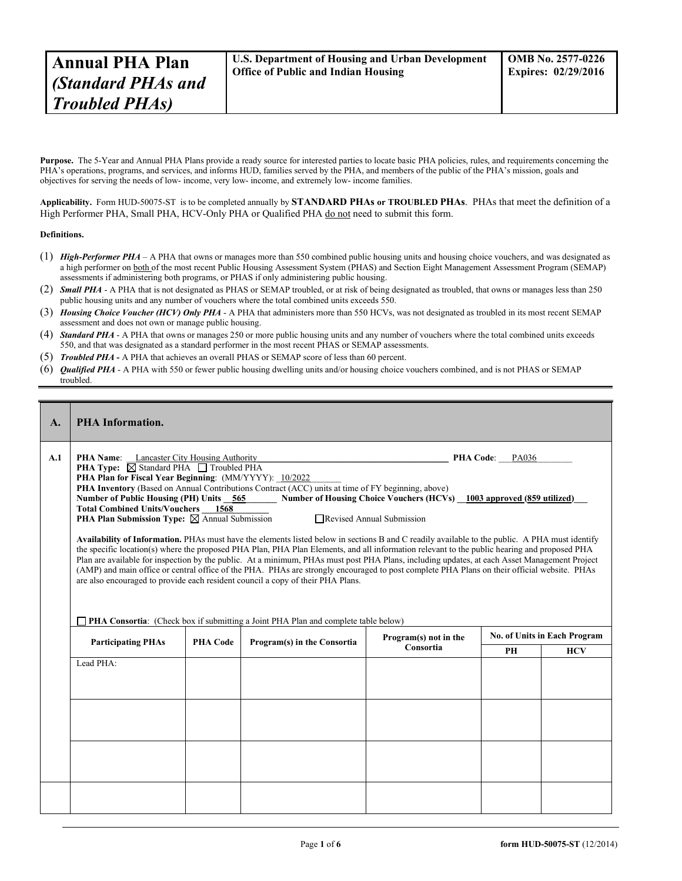**Purpose.** The 5-Year and Annual PHA Plans provide a ready source for interested parties to locate basic PHA policies, rules, and requirements concerning the PHA's operations, programs, and services, and informs HUD, families served by the PHA, and members of the public of the PHA's mission, goals and objectives for serving the needs of low- income, very low- income, and extremely low- income families.

**Applicability.** Form HUD-50075-ST is to be completed annually by **STANDARD PHAs or TROUBLED PHAs**. PHAs that meet the definition of a High Performer PHA, Small PHA, HCV-Only PHA or Qualified PHA do not need to submit this form.

## **Definitions.**

- (1) *High-Performer PHA* A PHA that owns or manages more than 550 combined public housing units and housing choice vouchers, and was designated as a high performer on both of the most recent Public Housing Assessment System (PHAS) and Section Eight Management Assessment Program (SEMAP) assessments if administering both programs, or PHAS if only administering public housing.
- (2) *Small PHA* A PHA that is not designated as PHAS or SEMAP troubled, or at risk of being designated as troubled, that owns or manages less than 250 public housing units and any number of vouchers where the total combined units exceeds 550.
- (3) *Housing Choice Voucher (HCV) Only PHA* A PHA that administers more than 550 HCVs, was not designated as troubled in its most recent SEMAP assessment and does not own or manage public housing.
- (4) *Standard PHA* A PHA that owns or manages 250 or more public housing units and any number of vouchers where the total combined units exceeds 550, and that was designated as a standard performer in the most recent PHAS or SEMAP assessments.
- (5) *Troubled PHA* **-** A PHA that achieves an overall PHAS or SEMAP score of less than 60 percent.
- (6) *Qualified PHA* A PHA with 550 or fewer public housing dwelling units and/or housing choice vouchers combined, and is not PHAS or SEMAP troubled.

| $\mathbf{A}$ . | <b>PHA Information.</b>                                                                                                                                                                                                                                                                                                                                                                                                                                                                                                                                                                                                                                                                                                                                                                                                                                                                                                                                                                                                                                                                                                                                                                                                                                     |                 |                             |           |           |            |  |  |
|----------------|-------------------------------------------------------------------------------------------------------------------------------------------------------------------------------------------------------------------------------------------------------------------------------------------------------------------------------------------------------------------------------------------------------------------------------------------------------------------------------------------------------------------------------------------------------------------------------------------------------------------------------------------------------------------------------------------------------------------------------------------------------------------------------------------------------------------------------------------------------------------------------------------------------------------------------------------------------------------------------------------------------------------------------------------------------------------------------------------------------------------------------------------------------------------------------------------------------------------------------------------------------------|-----------------|-----------------------------|-----------|-----------|------------|--|--|
| A.1            | Lancaster City Housing Authority<br><b>PHA Name:</b><br>PHA Code: PA036<br><b>PHA Type:</b> $\boxtimes$ Standard PHA $\Box$ Troubled PHA<br>PHA Plan for Fiscal Year Beginning: (MM/YYYY): 10/2022<br>PHA Inventory (Based on Annual Contributions Contract (ACC) units at time of FY beginning, above)<br>Number of Housing Choice Vouchers (HCVs) 1003 approved (859 utilized)<br>Number of Public Housing (PH) Units 565<br><b>Total Combined Units/Vouchers 1568</b><br><b>PHA Plan Submission Type:</b> $\boxtimes$ Annual Submission<br>Revised Annual Submission<br>Availability of Information. PHAs must have the elements listed below in sections B and C readily available to the public. A PHA must identify<br>the specific location(s) where the proposed PHA Plan, PHA Plan Elements, and all information relevant to the public hearing and proposed PHA<br>Plan are available for inspection by the public. At a minimum, PHAs must post PHA Plans, including updates, at each Asset Management Project<br>(AMP) and main office or central office of the PHA. PHAs are strongly encouraged to post complete PHA Plans on their official website. PHAs<br>are also encouraged to provide each resident council a copy of their PHA Plans. |                 |                             |           |           |            |  |  |
|                | <b>PHA Consortia:</b> (Check box if submitting a Joint PHA Plan and complete table below)<br><b>No. of Units in Each Program</b><br>Program(s) not in the                                                                                                                                                                                                                                                                                                                                                                                                                                                                                                                                                                                                                                                                                                                                                                                                                                                                                                                                                                                                                                                                                                   |                 |                             |           |           |            |  |  |
|                | <b>Participating PHAs</b>                                                                                                                                                                                                                                                                                                                                                                                                                                                                                                                                                                                                                                                                                                                                                                                                                                                                                                                                                                                                                                                                                                                                                                                                                                   | <b>PHA Code</b> | Program(s) in the Consortia | Consortia | <b>PH</b> | <b>HCV</b> |  |  |
|                | Lead PHA:                                                                                                                                                                                                                                                                                                                                                                                                                                                                                                                                                                                                                                                                                                                                                                                                                                                                                                                                                                                                                                                                                                                                                                                                                                                   |                 |                             |           |           |            |  |  |
|                |                                                                                                                                                                                                                                                                                                                                                                                                                                                                                                                                                                                                                                                                                                                                                                                                                                                                                                                                                                                                                                                                                                                                                                                                                                                             |                 |                             |           |           |            |  |  |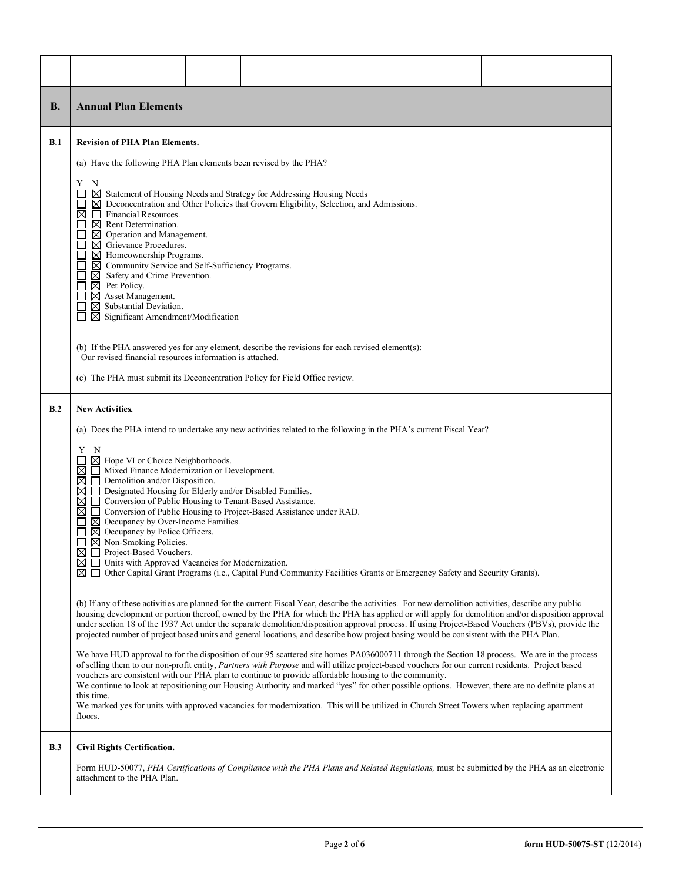| <b>B.</b>  | <b>Annual Plan Elements</b>                                                                                                                                                                                                                                                                                                                                                                                                                                                                                                                                                                                                                                                                                                                                                                                                                                                                                                                                                                                                                                                                                                                                                                                                                                                                                                                                                                                                                                                                                                                                                                                                                                                                                                                                                                                                                                                                                                                                                                                                                                                                                                                                                                                                                                                                                        |  |  |  |  |  |  |  |  |
|------------|--------------------------------------------------------------------------------------------------------------------------------------------------------------------------------------------------------------------------------------------------------------------------------------------------------------------------------------------------------------------------------------------------------------------------------------------------------------------------------------------------------------------------------------------------------------------------------------------------------------------------------------------------------------------------------------------------------------------------------------------------------------------------------------------------------------------------------------------------------------------------------------------------------------------------------------------------------------------------------------------------------------------------------------------------------------------------------------------------------------------------------------------------------------------------------------------------------------------------------------------------------------------------------------------------------------------------------------------------------------------------------------------------------------------------------------------------------------------------------------------------------------------------------------------------------------------------------------------------------------------------------------------------------------------------------------------------------------------------------------------------------------------------------------------------------------------------------------------------------------------------------------------------------------------------------------------------------------------------------------------------------------------------------------------------------------------------------------------------------------------------------------------------------------------------------------------------------------------------------------------------------------------------------------------------------------------|--|--|--|--|--|--|--|--|
| B.1        | <b>Revision of PHA Plan Elements.</b><br>(a) Have the following PHA Plan elements been revised by the PHA?<br>Y N<br>$\boxtimes$ Statement of Housing Needs and Strategy for Addressing Housing Needs<br>$\boxtimes$ Deconcentration and Other Policies that Govern Eligibility, Selection, and Admissions.<br>Financial Resources.<br>⊠<br>$\perp$<br>$\boxtimes$ Rent Determination.<br>$\boxtimes$ Operation and Management.<br>$\boxtimes$ Grievance Procedures.<br>Homeownership Programs.<br>⊠<br>⊠<br>Community Service and Self-Sufficiency Programs.<br>Safety and Crime Prevention.<br>⊠<br>$\boxtimes$ Pet Policy.<br>Asset Management.<br>⊠<br>$\boxtimes$ Substantial Deviation.<br>$\boxtimes$ Significant Amendment/Modification<br>$\perp$<br>(b) If the PHA answered yes for any element, describe the revisions for each revised element(s):<br>Our revised financial resources information is attached.<br>(c) The PHA must submit its Deconcentration Policy for Field Office review.                                                                                                                                                                                                                                                                                                                                                                                                                                                                                                                                                                                                                                                                                                                                                                                                                                                                                                                                                                                                                                                                                                                                                                                                                                                                                                          |  |  |  |  |  |  |  |  |
| B.2        | <b>New Activities.</b><br>(a) Does the PHA intend to undertake any new activities related to the following in the PHA's current Fiscal Year?<br>Y N<br>$\boxtimes$ Hope VI or Choice Neighborhoods.<br>Mixed Finance Modernization or Development.<br>⊠<br>$\boxtimes$ $\Box$ Demolition and/or Disposition.<br>□ Designated Housing for Elderly and/or Disabled Families.<br>⊠<br>$\boxtimes$ $\Box$ Conversion of Public Housing to Tenant-Based Assistance.<br>$\boxtimes$ $\Box$ Conversion of Public Housing to Project-Based Assistance under RAD.<br>$\Box$ $\boxtimes$ Occupancy by Over-Income Families.<br>$\boxtimes$ Occupancy by Police Officers.<br>$\boxtimes$ Non-Smoking Policies.<br>$\boxtimes$ $\Box$ Project-Based Vouchers.<br>$\boxtimes$ $\Box$ Units with Approved Vacancies for Modernization.<br>$\boxtimes$ $\Box$ Other Capital Grant Programs (i.e., Capital Fund Community Facilities Grants or Emergency Safety and Security Grants).<br>(b) If any of these activities are planned for the current Fiscal Year, describe the activities. For new demolition activities, describe any public<br>housing development or portion thereof, owned by the PHA for which the PHA has applied or will apply for demolition and/or disposition approval<br>under section 18 of the 1937 Act under the separate demolition/disposition approval process. If using Project-Based Vouchers (PBVs), provide the<br>projected number of project based units and general locations, and describe how project basing would be consistent with the PHA Plan.<br>We have HUD approval to for the disposition of our 95 scattered site homes PA036000711 through the Section 18 process. We are in the process<br>of selling them to our non-profit entity, Partners with Purpose and will utilize project-based vouchers for our current residents. Project based<br>vouchers are consistent with our PHA plan to continue to provide affordable housing to the community.<br>We continue to look at repositioning our Housing Authority and marked "yes" for other possible options. However, there are no definite plans at<br>this time.<br>We marked yes for units with approved vacancies for modernization. This will be utilized in Church Street Towers when replacing apartment<br>floors. |  |  |  |  |  |  |  |  |
| <b>B.3</b> | <b>Civil Rights Certification.</b><br>Form HUD-50077, PHA Certifications of Compliance with the PHA Plans and Related Regulations, must be submitted by the PHA as an electronic<br>attachment to the PHA Plan.                                                                                                                                                                                                                                                                                                                                                                                                                                                                                                                                                                                                                                                                                                                                                                                                                                                                                                                                                                                                                                                                                                                                                                                                                                                                                                                                                                                                                                                                                                                                                                                                                                                                                                                                                                                                                                                                                                                                                                                                                                                                                                    |  |  |  |  |  |  |  |  |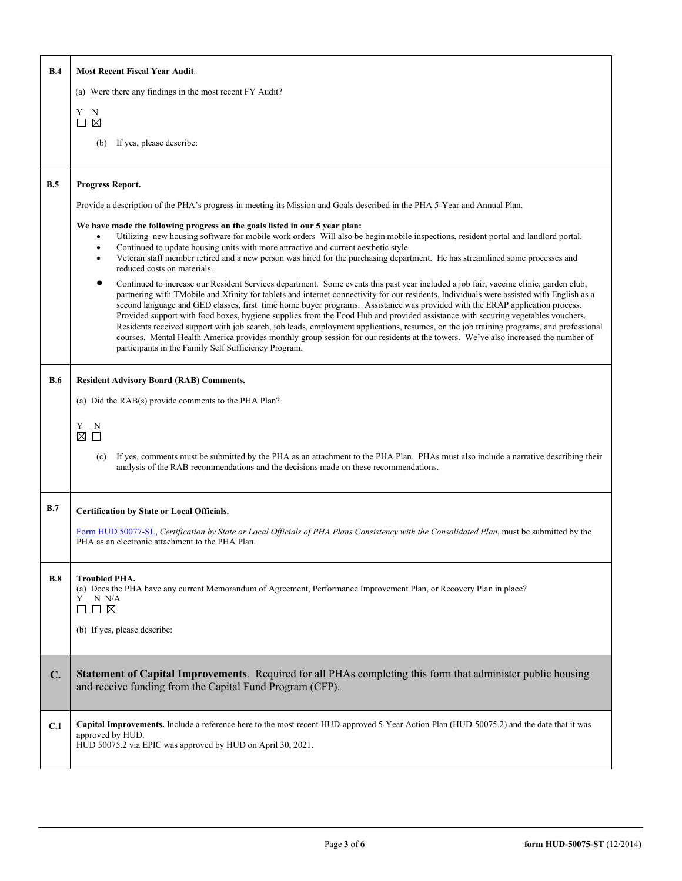| B.4            | <b>Most Recent Fiscal Year Audit.</b>                                                                                                                                                                                                                                            |  |  |  |  |  |  |
|----------------|----------------------------------------------------------------------------------------------------------------------------------------------------------------------------------------------------------------------------------------------------------------------------------|--|--|--|--|--|--|
|                | (a) Were there any findings in the most recent FY Audit?                                                                                                                                                                                                                         |  |  |  |  |  |  |
|                | Y N                                                                                                                                                                                                                                                                              |  |  |  |  |  |  |
|                | $\square$ $\square$                                                                                                                                                                                                                                                              |  |  |  |  |  |  |
|                | If yes, please describe:<br>(b)                                                                                                                                                                                                                                                  |  |  |  |  |  |  |
| B.5            | Progress Report.                                                                                                                                                                                                                                                                 |  |  |  |  |  |  |
|                | Provide a description of the PHA's progress in meeting its Mission and Goals described in the PHA 5-Year and Annual Plan.                                                                                                                                                        |  |  |  |  |  |  |
|                | We have made the following progress on the goals listed in our 5 year plan:                                                                                                                                                                                                      |  |  |  |  |  |  |
|                | Utilizing new housing software for mobile work orders Will also be begin mobile inspections, resident portal and landlord portal.<br>Continued to update housing units with more attractive and current aesthetic style.<br>$\bullet$                                            |  |  |  |  |  |  |
|                | Veteran staff member retired and a new person was hired for the purchasing department. He has streamlined some processes and<br>reduced costs on materials.                                                                                                                      |  |  |  |  |  |  |
|                | Continued to increase our Resident Services department. Some events this past year included a job fair, vaccine clinic, garden club,<br>partnering with TMobile and Xfinity for tablets and internet connectivity for our residents. Individuals were assisted with English as a |  |  |  |  |  |  |
|                | second language and GED classes, first time home buyer programs. Assistance was provided with the ERAP application process.                                                                                                                                                      |  |  |  |  |  |  |
|                | Provided support with food boxes, hygiene supplies from the Food Hub and provided assistance with securing vegetables vouchers.<br>Residents received support with job search, job leads, employment applications, resumes, on the job training programs, and professional       |  |  |  |  |  |  |
|                | courses. Mental Health America provides monthly group session for our residents at the towers. We've also increased the number of<br>participants in the Family Self Sufficiency Program.                                                                                        |  |  |  |  |  |  |
| <b>B.6</b>     |                                                                                                                                                                                                                                                                                  |  |  |  |  |  |  |
|                | <b>Resident Advisory Board (RAB) Comments.</b>                                                                                                                                                                                                                                   |  |  |  |  |  |  |
|                | (a) Did the RAB(s) provide comments to the PHA Plan?                                                                                                                                                                                                                             |  |  |  |  |  |  |
|                | Y.<br>N<br>⊠<br>$\Box$                                                                                                                                                                                                                                                           |  |  |  |  |  |  |
|                | If yes, comments must be submitted by the PHA as an attachment to the PHA Plan. PHAs must also include a narrative describing their<br>(c)                                                                                                                                       |  |  |  |  |  |  |
|                | analysis of the RAB recommendations and the decisions made on these recommendations.                                                                                                                                                                                             |  |  |  |  |  |  |
| B.7            | Certification by State or Local Officials.                                                                                                                                                                                                                                       |  |  |  |  |  |  |
|                | Form HUD 50077-SL, Certification by State or Local Officials of PHA Plans Consistency with the Consolidated Plan, must be submitted by the                                                                                                                                       |  |  |  |  |  |  |
|                | PHA as an electronic attachment to the PHA Plan.                                                                                                                                                                                                                                 |  |  |  |  |  |  |
|                |                                                                                                                                                                                                                                                                                  |  |  |  |  |  |  |
| B.8            | <b>Troubled PHA.</b><br>(a) Does the PHA have any current Memorandum of Agreement, Performance Improvement Plan, or Recovery Plan in place?                                                                                                                                      |  |  |  |  |  |  |
|                | N N/A<br>Y<br>$\Box$ $\boxtimes$<br>ப                                                                                                                                                                                                                                            |  |  |  |  |  |  |
|                | (b) If yes, please describe:                                                                                                                                                                                                                                                     |  |  |  |  |  |  |
|                |                                                                                                                                                                                                                                                                                  |  |  |  |  |  |  |
| $\mathbf{C}$ . | Statement of Capital Improvements. Required for all PHAs completing this form that administer public housing                                                                                                                                                                     |  |  |  |  |  |  |
|                | and receive funding from the Capital Fund Program (CFP).                                                                                                                                                                                                                         |  |  |  |  |  |  |
|                |                                                                                                                                                                                                                                                                                  |  |  |  |  |  |  |
| C.1            | Capital Improvements. Include a reference here to the most recent HUD-approved 5-Year Action Plan (HUD-50075.2) and the date that it was<br>approved by HUD.                                                                                                                     |  |  |  |  |  |  |
|                | HUD 50075.2 via EPIC was approved by HUD on April 30, 2021.                                                                                                                                                                                                                      |  |  |  |  |  |  |
|                |                                                                                                                                                                                                                                                                                  |  |  |  |  |  |  |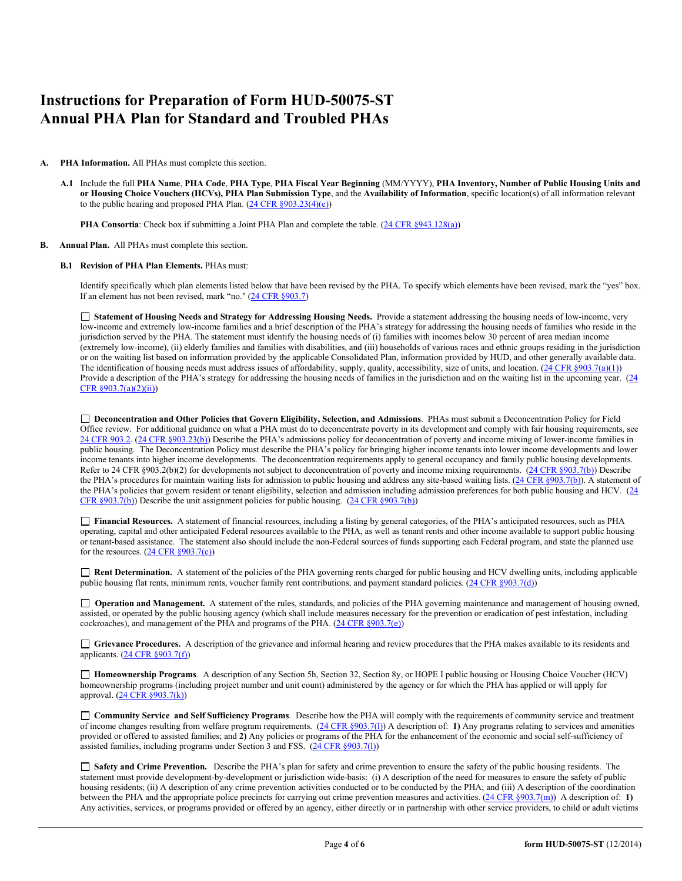# **Instructions for Preparation of Form HUD-50075-ST Annual PHA Plan for Standard and Troubled PHAs**

### **A. PHA Information.** All PHAs must complete this section.

**A.1** Include the full **PHA Name**, **PHA Code**, **PHA Type**, **PHA Fiscal Year Beginning** (MM/YYYY), **PHA Inventory, Number of Public Housing Units and or Housing Choice Vouchers (HCVs), PHA Plan Submission Type**, and the **Availability of Information**, specific location(s) of all information relevant to the public hearing and proposed PHA Plan. (24 CFR §903.23(4)(e))

**PHA Consortia**: Check box if submitting a Joint PHA Plan and complete the table. (24 CFR §943.128(a))

#### **B. Annual Plan.** All PHAs must complete this section.

#### **B.1 Revision of PHA Plan Elements.** PHAs must:

Identify specifically which plan elements listed below that have been revised by the PHA. To specify which elements have been revised, mark the "yes" box. If an element has not been revised, mark "no." (24 CFR §903.7)

 **Statement of Housing Needs and Strategy for Addressing Housing Needs.** Provide a statement addressing the housing needs of low-income, very low-income and extremely low-income families and a brief description of the PHA's strategy for addressing the housing needs of families who reside in the jurisdiction served by the PHA. The statement must identify the housing needs of (i) families with incomes below 30 percent of area median income (extremely low-income), (ii) elderly families and families with disabilities, and (iii) households of various races and ethnic groups residing in the jurisdiction or on the waiting list based on information provided by the applicable Consolidated Plan, information provided by HUD, and other generally available data. The identification of housing needs must address issues of affordability, supply, quality, accessibility, size of units, and location.  $(24 \text{ CFR } \text{8903.7(a)(1)})$ Provide a description of the PHA's strategy for addressing the housing needs of families in the jurisdiction and on the waiting list in the upcoming year. (24 CFR §903.7(a)(2)(ii))

 **Deconcentration and Other Policies that Govern Eligibility, Selection, and Admissions**. PHAs must submit a Deconcentration Policy for Field Office review. For additional guidance on what a PHA must do to deconcentrate poverty in its development and comply with fair housing requirements, see 24 CFR 903.2. (24 CFR §903.23(b)) Describe the PHA's admissions policy for deconcentration of poverty and income mixing of lower-income families in public housing. The Deconcentration Policy must describe the PHA's policy for bringing higher income tenants into lower income developments and lower income tenants into higher income developments. The deconcentration requirements apply to general occupancy and family public housing developments. Refer to 24 CFR §903.2(b)(2) for developments not subject to deconcentration of poverty and income mixing requirements. (24 CFR §903.7(b)) Describe the PHA's procedures for maintain waiting lists for admission to public housing and address any site-based waiting lists. (24 CFR §903.7(b)). A statement of the PHA's policies that govern resident or tenant eligibility, selection and admission including admission preferences for both public housing and HCV. (24 CFR  $\S 903.7(b)$ ) Describe the unit assignment policies for public housing.  $(24 \text{ CFR } \S 903.7(b))$ 

 **Financial Resources.** A statement of financial resources, including a listing by general categories, of the PHA's anticipated resources, such as PHA operating, capital and other anticipated Federal resources available to the PHA, as well as tenant rents and other income available to support public housing or tenant-based assistance. The statement also should include the non-Federal sources of funds supporting each Federal program, and state the planned use for the resources.  $(24 \text{ CFR } \S 903.7(c))$ 

 **Rent Determination.** A statement of the policies of the PHA governing rents charged for public housing and HCV dwelling units, including applicable public housing flat rents, minimum rents, voucher family rent contributions, and payment standard policies. (24 CFR §903.7(d))

□ **Operation and Management.** A statement of the rules, standards, and policies of the PHA governing maintenance and management of housing owned, assisted, or operated by the public housing agency (which shall include measures necessary for the prevention or eradication of pest infestation, including cockroaches), and management of the PHA and programs of the PHA. (24 CFR §903.7(e))

 **Grievance Procedures.** A description of the grievance and informal hearing and review procedures that the PHA makes available to its residents and applicants.  $(24 \text{ CFR } \S 903.7(f))$ 

 **Homeownership Programs**. A description of any Section 5h, Section 32, Section 8y, or HOPE I public housing or Housing Choice Voucher (HCV) homeownership programs (including project number and unit count) administered by the agency or for which the PHA has applied or will apply for approval. (24 CFR §903.7(k))

 **Community Service and Self Sufficiency Programs**. Describe how the PHA will comply with the requirements of community service and treatment of income changes resulting from welfare program requirements. (24 CFR §903.7(l)) A description of: **1)** Any programs relating to services and amenities provided or offered to assisted families; and **2)** Any policies or programs of the PHA for the enhancement of the economic and social self-sufficiency of assisted families, including programs under Section  $3$  and FSS. ( $24$  CFR §903.7(1))

 **Safety and Crime Prevention.** Describe the PHA's plan for safety and crime prevention to ensure the safety of the public housing residents. The statement must provide development-by-development or jurisdiction wide-basis: (i) A description of the need for measures to ensure the safety of public housing residents; (ii) A description of any crime prevention activities conducted or to be conducted by the PHA; and (iii) A description of the coordination between the PHA and the appropriate police precincts for carrying out crime prevention measures and activities. (24 CFR §903.7(m)) A description of: **1)** Any activities, services, or programs provided or offered by an agency, either directly or in partnership with other service providers, to child or adult victims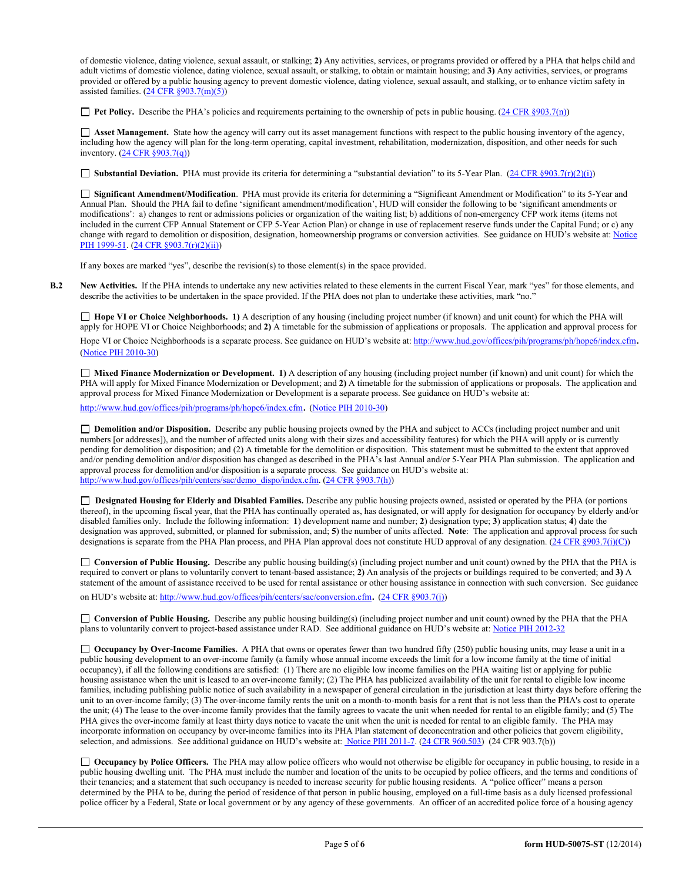of domestic violence, dating violence, sexual assault, or stalking; **2)** Any activities, services, or programs provided or offered by a PHA that helps child and adult victims of domestic violence, dating violence, sexual assault, or stalking, to obtain or maintain housing; and **3)** Any activities, services, or programs provided or offered by a public housing agency to prevent domestic violence, dating violence, sexual assault, and stalking, or to enhance victim safety in assisted families.  $(24 \text{ CFR } \text{8903.7(m)(5)})$ 

**Pet Policy.** Describe the PHA's policies and requirements pertaining to the ownership of pets in public housing. (24 CFR §903.7(n))

 **Asset Management.** State how the agency will carry out its asset management functions with respect to the public housing inventory of the agency, including how the agency will plan for the long-term operating, capital investment, rehabilitation, modernization, disposition, and other needs for such inventory. (24 CFR §903.7(q))

**Substantial Deviation.** PHA must provide its criteria for determining a "substantial deviation" to its 5-Year Plan. (24 CFR §903.7(r)(2)(i))

 **Significant Amendment/Modification**. PHA must provide its criteria for determining a "Significant Amendment or Modification" to its 5-Year and Annual Plan. Should the PHA fail to define 'significant amendment/modification', HUD will consider the following to be 'significant amendments or modifications': a) changes to rent or admissions policies or organization of the waiting list; b) additions of non-emergency CFP work items (items not included in the current CFP Annual Statement or CFP 5-Year Action Plan) or change in use of replacement reserve funds under the Capital Fund; or c) any change with regard to demolition or disposition, designation, homeownership programs or conversion activities. See guidance on HUD's website at: Notice PIH 1999-51. (24 CFR §903.7(r)(2)(ii))

If any boxes are marked "yes", describe the revision(s) to those element(s) in the space provided.

**B.2 New Activities.** If the PHA intends to undertake any new activities related to these elements in the current Fiscal Year, mark "yes" for those elements, and describe the activities to be undertaken in the space provided. If the PHA does not plan to undertake these activities, mark "no."

 **Hope VI or Choice Neighborhoods. 1)** A description of any housing (including project number (if known) and unit count) for which the PHA will apply for HOPE VI or Choice Neighborhoods; and **2)** A timetable for the submission of applications or proposals. The application and approval process for Hope VI or Choice Neighborhoods is a separate process. See guidance on HUD's website at: http://www.hud.gov/offices/pih/programs/ph/hope6/index.cfm.<br>(Notice PIH 2010-30)

 **Mixed Finance Modernization or Development. 1)** A description of any housing (including project number (if known) and unit count) for which the PHA will apply for Mixed Finance Modernization or Development; and **2)** A timetable for the submission of applications or proposals. The application and approval process for Mixed Finance Modernization or Development is a separate process. See guidance on HUD's website at:

http://www.hud.gov/offices/pih/programs/ph/hope6/index.cfm. (Notice PIH 2010-30)

 **Demolition and/or Disposition.** Describe any public housing projects owned by the PHA and subject to ACCs (including project number and unit numbers [or addresses]), and the number of affected units along with their sizes and accessibility features) for which the PHA will apply or is currently pending for demolition or disposition; and (2) A timetable for the demolition or disposition. This statement must be submitted to the extent that approved and/or pending demolition and/or disposition has changed as described in the PHA's last Annual and/or 5-Year PHA Plan submission. The application and approval process for demolition and/or disposition is a separate process. See guidance on HUD's website at: http://www.hud.gov/offices/pih/centers/sac/demo\_dispo/index.cfm. (24 CFR §903.7(h))

 **Designated Housing for Elderly and Disabled Families.** Describe any public housing projects owned, assisted or operated by the PHA (or portions thereof), in the upcoming fiscal year, that the PHA has continually operated as, has designated, or will apply for designation for occupancy by elderly and/or disabled families only. Include the following information: **1**) development name and number; **2**) designation type; **3**) application status; **4**) date the designation was approved, submitted, or planned for submission, and; **5**) the number of units affected. **Note**: The application and approval process for such designations is separate from the PHA Plan process, and PHA Plan approval does not constitute HUD approval of any designation. (24 CFR §903.7(i)(C))

 **Conversion of Public Housing.** Describe any public housing building(s) (including project number and unit count) owned by the PHA that the PHA is required to convert or plans to voluntarily convert to tenant-based assistance; **2)** An analysis of the projects or buildings required to be converted; and **3)** A statement of the amount of assistance received to be used for rental assistance or other housing assistance in connection with such conversion. See guidance on HUD's website at: http://www.hud.gov/offices/pih/centers/sac/conversion.cfm. (24 CFR §903.7(j))

 **Conversion of Public Housing.** Describe any public housing building(s) (including project number and unit count) owned by the PHA that the PHA plans to voluntarily convert to project-based assistance under RAD. See additional guidance on HUD's website at: Notice PIH 2012-32

□ **Occupancy by Over-Income Families.** A PHA that owns or operates fewer than two hundred fifty (250) public housing units, may lease a unit in a public housing development to an over-income family (a family whose annual income exceeds the limit for a low income family at the time of initial occupancy), if all the following conditions are satisfied: (1) There are no eligible low income families on the PHA waiting list or applying for public housing assistance when the unit is leased to an over-income family; (2) The PHA has publicized availability of the unit for rental to eligible low income families, including publishing public notice of such availability in a newspaper of general circulation in the jurisdiction at least thirty days before offering the unit to an over-income family; (3) The over-income family rents the unit on a month-to-month basis for a rent that is not less than the PHA's cost to operate the unit; (4) The lease to the over-income family provides that the family agrees to vacate the unit when needed for rental to an eligible family; and (5) The PHA gives the over-income family at least thirty days notice to vacate the unit when the unit is needed for rental to an eligible family. The PHA may incorporate information on occupancy by over-income families into its PHA Plan statement of deconcentration and other policies that govern eligibility, selection, and admissions. See additional guidance on HUD's website at: Notice PIH 2011-7. (24 CFR 960.503) (24 CFR 903.7(b))

 **Occupancy by Police Officers.** The PHA may allow police officers who would not otherwise be eligible for occupancy in public housing, to reside in a public housing dwelling unit. The PHA must include the number and location of the units to be occupied by police officers, and the terms and conditions of their tenancies; and a statement that such occupancy is needed to increase security for public housing residents. A "police officer" means a person determined by the PHA to be, during the period of residence of that person in public housing, employed on a full-time basis as a duly licensed professional police officer by a Federal, State or local government or by any agency of these governments. An officer of an accredited police force of a housing agency